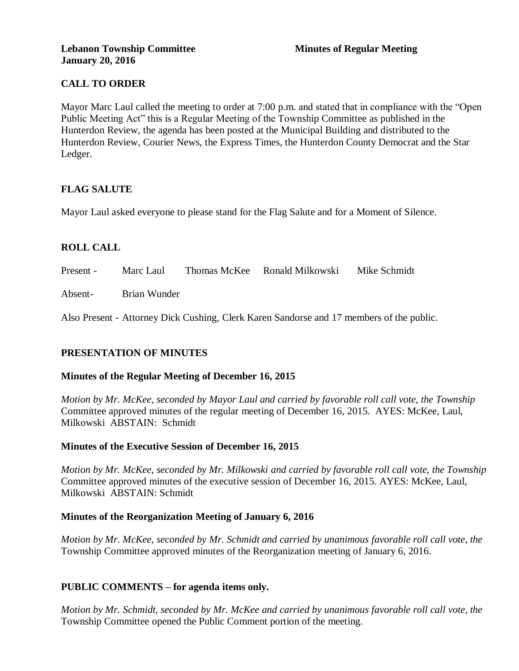## **CALL TO ORDER**

Mayor Marc Laul called the meeting to order at 7:00 p.m. and stated that in compliance with the "Open Public Meeting Act" this is a Regular Meeting of the Township Committee as published in the Hunterdon Review, the agenda has been posted at the Municipal Building and distributed to the Hunterdon Review, Courier News, the Express Times, the Hunterdon County Democrat and the Star Ledger.

## **FLAG SALUTE**

Mayor Laul asked everyone to please stand for the Flag Salute and for a Moment of Silence.

## **ROLL CALL**

Present - Marc Laul Thomas McKee Ronald Milkowski Mike Schmidt

Absent- Brian Wunder

Also Present - Attorney Dick Cushing, Clerk Karen Sandorse and 17 members of the public.

## **PRESENTATION OF MINUTES**

#### **Minutes of the Regular Meeting of December 16, 2015**

*Motion by Mr. McKee, seconded by Mayor Laul and carried by favorable roll call vote, the Township* Committee approved minutes of the regular meeting of December 16, 2015. AYES: McKee, Laul, Milkowski ABSTAIN: Schmidt

#### **Minutes of the Executive Session of December 16, 2015**

*Motion by Mr. McKee, seconded by Mr. Milkowski and carried by favorable roll call vote, the Township* Committee approved minutes of the executive session of December 16, 2015. AYES: McKee, Laul, Milkowski ABSTAIN: Schmidt

## **Minutes of the Reorganization Meeting of January 6, 2016**

*Motion by Mr. McKee, seconded by Mr. Schmidt and carried by unanimous favorable roll call vote, the* Township Committee approved minutes of the Reorganization meeting of January 6, 2016.

## **PUBLIC COMMENTS – for agenda items only.**

*Motion by Mr. Schmidt, seconded by Mr. McKee and carried by unanimous favorable roll call vote, the* Township Committee opened the Public Comment portion of the meeting.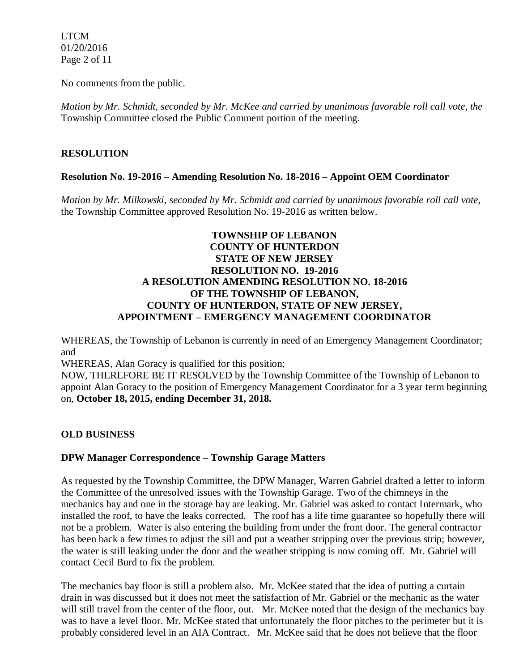LTCM 01/20/2016 Page 2 of 11

No comments from the public.

*Motion by Mr. Schmidt, seconded by Mr. McKee and carried by unanimous favorable roll call vote, the* Township Committee closed the Public Comment portion of the meeting.

## **RESOLUTION**

### **Resolution No. 19-2016 – Amending Resolution No. 18-2016 – Appoint OEM Coordinator**

*Motion by Mr. Milkowski, seconded by Mr. Schmidt and carried by unanimous favorable roll call vote,* the Township Committee approved Resolution No. 19-2016 as written below.

## **TOWNSHIP OF LEBANON COUNTY OF HUNTERDON STATE OF NEW JERSEY RESOLUTION NO. 19-2016 A RESOLUTION AMENDING RESOLUTION NO. 18-2016 OF THE TOWNSHIP OF LEBANON, COUNTY OF HUNTERDON, STATE OF NEW JERSEY, APPOINTMENT – EMERGENCY MANAGEMENT COORDINATOR**

WHEREAS, the Township of Lebanon is currently in need of an Emergency Management Coordinator; and

WHEREAS, Alan Goracy is qualified for this position;

NOW, THEREFORE BE IT RESOLVED by the Township Committee of the Township of Lebanon to appoint Alan Goracy to the position of Emergency Management Coordinator for a 3 year term beginning on, **October 18, 2015, ending December 31, 2018.**

## **OLD BUSINESS**

#### **DPW Manager Correspondence – Township Garage Matters**

As requested by the Township Committee, the DPW Manager, Warren Gabriel drafted a letter to inform the Committee of the unresolved issues with the Township Garage. Two of the chimneys in the mechanics bay and one in the storage bay are leaking. Mr. Gabriel was asked to contact Intermark, who installed the roof, to have the leaks corrected. The roof has a life time guarantee so hopefully there will not be a problem. Water is also entering the building from under the front door. The general contractor has been back a few times to adjust the sill and put a weather stripping over the previous strip; however, the water is still leaking under the door and the weather stripping is now coming off. Mr. Gabriel will contact Cecil Burd to fix the problem.

The mechanics bay floor is still a problem also. Mr. McKee stated that the idea of putting a curtain drain in was discussed but it does not meet the satisfaction of Mr. Gabriel or the mechanic as the water will still travel from the center of the floor, out. Mr. McKee noted that the design of the mechanics bay was to have a level floor. Mr. McKee stated that unfortunately the floor pitches to the perimeter but it is probably considered level in an AIA Contract. Mr. McKee said that he does not believe that the floor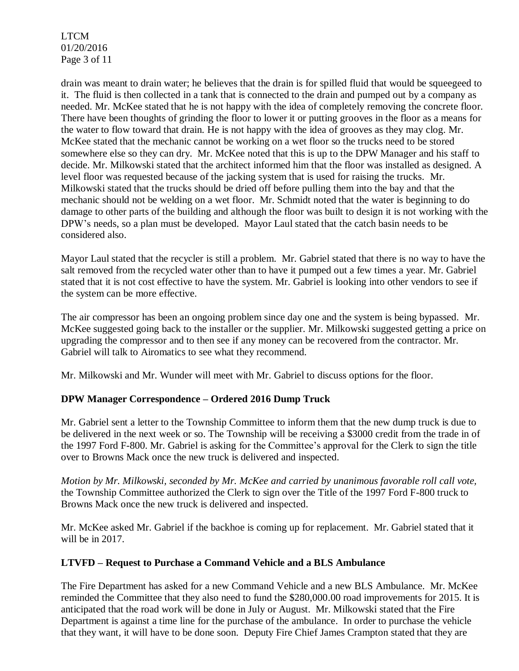LTCM 01/20/2016 Page 3 of 11

drain was meant to drain water; he believes that the drain is for spilled fluid that would be squeegeed to it. The fluid is then collected in a tank that is connected to the drain and pumped out by a company as needed. Mr. McKee stated that he is not happy with the idea of completely removing the concrete floor. There have been thoughts of grinding the floor to lower it or putting grooves in the floor as a means for the water to flow toward that drain. He is not happy with the idea of grooves as they may clog. Mr. McKee stated that the mechanic cannot be working on a wet floor so the trucks need to be stored somewhere else so they can dry. Mr. McKee noted that this is up to the DPW Manager and his staff to decide. Mr. Milkowski stated that the architect informed him that the floor was installed as designed. A level floor was requested because of the jacking system that is used for raising the trucks. Mr. Milkowski stated that the trucks should be dried off before pulling them into the bay and that the mechanic should not be welding on a wet floor. Mr. Schmidt noted that the water is beginning to do damage to other parts of the building and although the floor was built to design it is not working with the DPW's needs, so a plan must be developed. Mayor Laul stated that the catch basin needs to be considered also.

Mayor Laul stated that the recycler is still a problem. Mr. Gabriel stated that there is no way to have the salt removed from the recycled water other than to have it pumped out a few times a year. Mr. Gabriel stated that it is not cost effective to have the system. Mr. Gabriel is looking into other vendors to see if the system can be more effective.

The air compressor has been an ongoing problem since day one and the system is being bypassed. Mr. McKee suggested going back to the installer or the supplier. Mr. Milkowski suggested getting a price on upgrading the compressor and to then see if any money can be recovered from the contractor. Mr. Gabriel will talk to Airomatics to see what they recommend.

Mr. Milkowski and Mr. Wunder will meet with Mr. Gabriel to discuss options for the floor.

## **DPW Manager Correspondence – Ordered 2016 Dump Truck**

Mr. Gabriel sent a letter to the Township Committee to inform them that the new dump truck is due to be delivered in the next week or so. The Township will be receiving a \$3000 credit from the trade in of the 1997 Ford F-800. Mr. Gabriel is asking for the Committee's approval for the Clerk to sign the title over to Browns Mack once the new truck is delivered and inspected.

*Motion by Mr. Milkowski, seconded by Mr. McKee and carried by unanimous favorable roll call vote,*  the Township Committee authorized the Clerk to sign over the Title of the 1997 Ford F-800 truck to Browns Mack once the new truck is delivered and inspected.

Mr. McKee asked Mr. Gabriel if the backhoe is coming up for replacement. Mr. Gabriel stated that it will be in 2017.

## **LTVFD – Request to Purchase a Command Vehicle and a BLS Ambulance**

The Fire Department has asked for a new Command Vehicle and a new BLS Ambulance. Mr. McKee reminded the Committee that they also need to fund the \$280,000.00 road improvements for 2015. It is anticipated that the road work will be done in July or August. Mr. Milkowski stated that the Fire Department is against a time line for the purchase of the ambulance. In order to purchase the vehicle that they want, it will have to be done soon. Deputy Fire Chief James Crampton stated that they are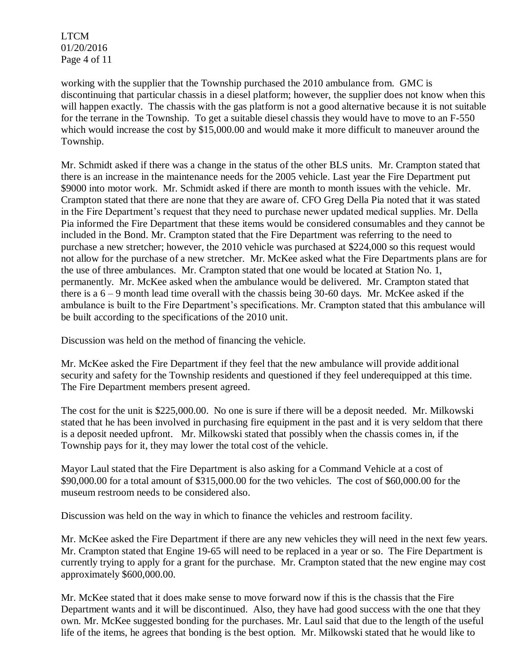LTCM 01/20/2016 Page 4 of 11

working with the supplier that the Township purchased the 2010 ambulance from. GMC is discontinuing that particular chassis in a diesel platform; however, the supplier does not know when this will happen exactly. The chassis with the gas platform is not a good alternative because it is not suitable for the terrane in the Township. To get a suitable diesel chassis they would have to move to an F-550 which would increase the cost by \$15,000.00 and would make it more difficult to maneuver around the Township.

Mr. Schmidt asked if there was a change in the status of the other BLS units. Mr. Crampton stated that there is an increase in the maintenance needs for the 2005 vehicle. Last year the Fire Department put \$9000 into motor work. Mr. Schmidt asked if there are month to month issues with the vehicle. Mr. Crampton stated that there are none that they are aware of. CFO Greg Della Pia noted that it was stated in the Fire Department's request that they need to purchase newer updated medical supplies. Mr. Della Pia informed the Fire Department that these items would be considered consumables and they cannot be included in the Bond. Mr. Crampton stated that the Fire Department was referring to the need to purchase a new stretcher; however, the 2010 vehicle was purchased at \$224,000 so this request would not allow for the purchase of a new stretcher. Mr. McKee asked what the Fire Departments plans are for the use of three ambulances. Mr. Crampton stated that one would be located at Station No. 1, permanently. Mr. McKee asked when the ambulance would be delivered. Mr. Crampton stated that there is a  $6 - 9$  month lead time overall with the chassis being 30-60 days. Mr. McKee asked if the ambulance is built to the Fire Department's specifications. Mr. Crampton stated that this ambulance will be built according to the specifications of the 2010 unit.

Discussion was held on the method of financing the vehicle.

Mr. McKee asked the Fire Department if they feel that the new ambulance will provide additional security and safety for the Township residents and questioned if they feel underequipped at this time. The Fire Department members present agreed.

The cost for the unit is \$225,000.00. No one is sure if there will be a deposit needed. Mr. Milkowski stated that he has been involved in purchasing fire equipment in the past and it is very seldom that there is a deposit needed upfront. Mr. Milkowski stated that possibly when the chassis comes in, if the Township pays for it, they may lower the total cost of the vehicle.

Mayor Laul stated that the Fire Department is also asking for a Command Vehicle at a cost of \$90,000.00 for a total amount of \$315,000.00 for the two vehicles. The cost of \$60,000.00 for the museum restroom needs to be considered also.

Discussion was held on the way in which to finance the vehicles and restroom facility.

Mr. McKee asked the Fire Department if there are any new vehicles they will need in the next few years. Mr. Crampton stated that Engine 19-65 will need to be replaced in a year or so. The Fire Department is currently trying to apply for a grant for the purchase. Mr. Crampton stated that the new engine may cost approximately \$600,000.00.

Mr. McKee stated that it does make sense to move forward now if this is the chassis that the Fire Department wants and it will be discontinued. Also, they have had good success with the one that they own. Mr. McKee suggested bonding for the purchases. Mr. Laul said that due to the length of the useful life of the items, he agrees that bonding is the best option. Mr. Milkowski stated that he would like to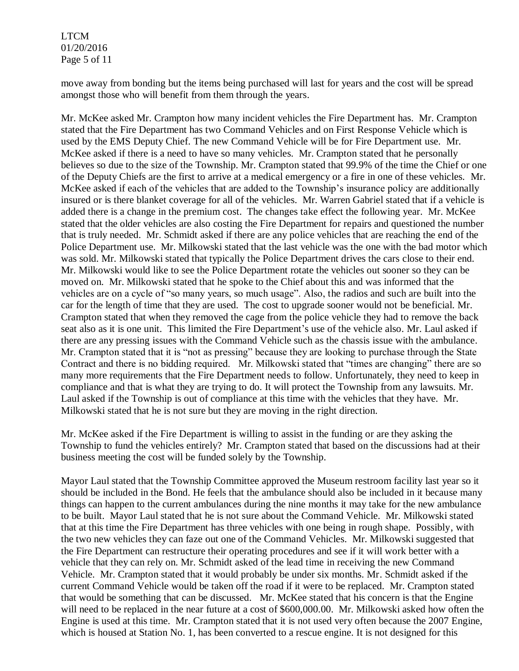LTCM 01/20/2016 Page 5 of 11

move away from bonding but the items being purchased will last for years and the cost will be spread amongst those who will benefit from them through the years.

Mr. McKee asked Mr. Crampton how many incident vehicles the Fire Department has. Mr. Crampton stated that the Fire Department has two Command Vehicles and on First Response Vehicle which is used by the EMS Deputy Chief. The new Command Vehicle will be for Fire Department use. Mr. McKee asked if there is a need to have so many vehicles. Mr. Crampton stated that he personally believes so due to the size of the Township. Mr. Crampton stated that 99.9% of the time the Chief or one of the Deputy Chiefs are the first to arrive at a medical emergency or a fire in one of these vehicles. Mr. McKee asked if each of the vehicles that are added to the Township's insurance policy are additionally insured or is there blanket coverage for all of the vehicles. Mr. Warren Gabriel stated that if a vehicle is added there is a change in the premium cost. The changes take effect the following year. Mr. McKee stated that the older vehicles are also costing the Fire Department for repairs and questioned the number that is truly needed. Mr. Schmidt asked if there are any police vehicles that are reaching the end of the Police Department use. Mr. Milkowski stated that the last vehicle was the one with the bad motor which was sold. Mr. Milkowski stated that typically the Police Department drives the cars close to their end. Mr. Milkowski would like to see the Police Department rotate the vehicles out sooner so they can be moved on. Mr. Milkowski stated that he spoke to the Chief about this and was informed that the vehicles are on a cycle of "so many years, so much usage". Also, the radios and such are built into the car for the length of time that they are used. The cost to upgrade sooner would not be beneficial. Mr. Crampton stated that when they removed the cage from the police vehicle they had to remove the back seat also as it is one unit. This limited the Fire Department's use of the vehicle also. Mr. Laul asked if there are any pressing issues with the Command Vehicle such as the chassis issue with the ambulance. Mr. Crampton stated that it is "not as pressing" because they are looking to purchase through the State Contract and there is no bidding required. Mr. Milkowski stated that "times are changing" there are so many more requirements that the Fire Department needs to follow. Unfortunately, they need to keep in compliance and that is what they are trying to do. It will protect the Township from any lawsuits. Mr. Laul asked if the Township is out of compliance at this time with the vehicles that they have. Mr. Milkowski stated that he is not sure but they are moving in the right direction.

Mr. McKee asked if the Fire Department is willing to assist in the funding or are they asking the Township to fund the vehicles entirely? Mr. Crampton stated that based on the discussions had at their business meeting the cost will be funded solely by the Township.

Mayor Laul stated that the Township Committee approved the Museum restroom facility last year so it should be included in the Bond. He feels that the ambulance should also be included in it because many things can happen to the current ambulances during the nine months it may take for the new ambulance to be built. Mayor Laul stated that he is not sure about the Command Vehicle. Mr. Milkowski stated that at this time the Fire Department has three vehicles with one being in rough shape. Possibly, with the two new vehicles they can faze out one of the Command Vehicles. Mr. Milkowski suggested that the Fire Department can restructure their operating procedures and see if it will work better with a vehicle that they can rely on. Mr. Schmidt asked of the lead time in receiving the new Command Vehicle. Mr. Crampton stated that it would probably be under six months. Mr. Schmidt asked if the current Command Vehicle would be taken off the road if it were to be replaced. Mr. Crampton stated that would be something that can be discussed. Mr. McKee stated that his concern is that the Engine will need to be replaced in the near future at a cost of \$600,000.00. Mr. Milkowski asked how often the Engine is used at this time. Mr. Crampton stated that it is not used very often because the 2007 Engine, which is housed at Station No. 1, has been converted to a rescue engine. It is not designed for this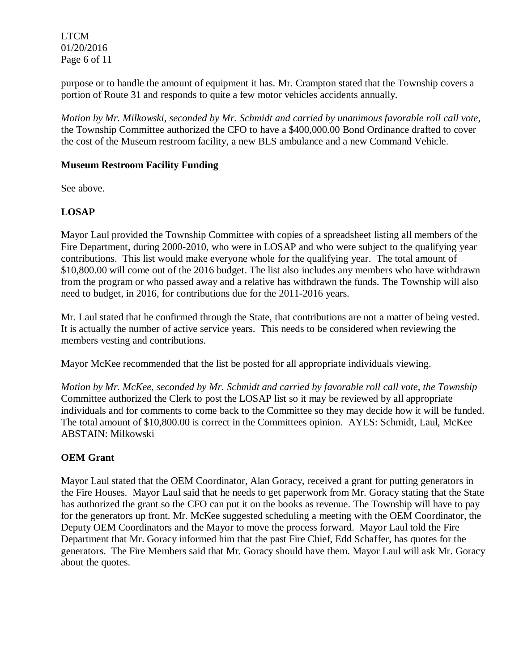LTCM 01/20/2016 Page 6 of 11

purpose or to handle the amount of equipment it has. Mr. Crampton stated that the Township covers a portion of Route 31 and responds to quite a few motor vehicles accidents annually.

*Motion by Mr. Milkowski, seconded by Mr. Schmidt and carried by unanimous favorable roll call vote,*  the Township Committee authorized the CFO to have a \$400,000.00 Bond Ordinance drafted to cover the cost of the Museum restroom facility, a new BLS ambulance and a new Command Vehicle.

## **Museum Restroom Facility Funding**

See above.

# **LOSAP**

Mayor Laul provided the Township Committee with copies of a spreadsheet listing all members of the Fire Department, during 2000-2010, who were in LOSAP and who were subject to the qualifying year contributions. This list would make everyone whole for the qualifying year. The total amount of \$10,800.00 will come out of the 2016 budget. The list also includes any members who have withdrawn from the program or who passed away and a relative has withdrawn the funds. The Township will also need to budget, in 2016, for contributions due for the 2011-2016 years.

Mr. Laul stated that he confirmed through the State, that contributions are not a matter of being vested. It is actually the number of active service years. This needs to be considered when reviewing the members vesting and contributions.

Mayor McKee recommended that the list be posted for all appropriate individuals viewing.

*Motion by Mr. McKee, seconded by Mr. Schmidt and carried by favorable roll call vote, the Township* Committee authorized the Clerk to post the LOSAP list so it may be reviewed by all appropriate individuals and for comments to come back to the Committee so they may decide how it will be funded. The total amount of \$10,800.00 is correct in the Committees opinion. AYES: Schmidt, Laul, McKee ABSTAIN: Milkowski

## **OEM Grant**

Mayor Laul stated that the OEM Coordinator, Alan Goracy, received a grant for putting generators in the Fire Houses. Mayor Laul said that he needs to get paperwork from Mr. Goracy stating that the State has authorized the grant so the CFO can put it on the books as revenue. The Township will have to pay for the generators up front. Mr. McKee suggested scheduling a meeting with the OEM Coordinator, the Deputy OEM Coordinators and the Mayor to move the process forward. Mayor Laul told the Fire Department that Mr. Goracy informed him that the past Fire Chief, Edd Schaffer, has quotes for the generators. The Fire Members said that Mr. Goracy should have them. Mayor Laul will ask Mr. Goracy about the quotes.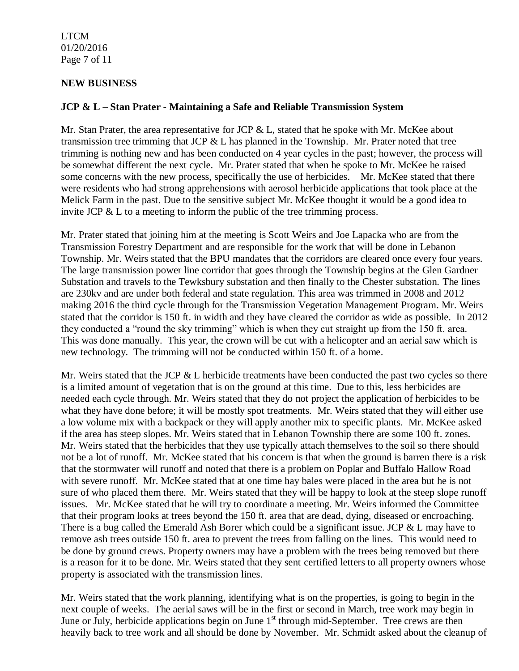LTCM 01/20/2016 Page 7 of 11

### **NEW BUSINESS**

#### **JCP & L – Stan Prater - Maintaining a Safe and Reliable Transmission System**

Mr. Stan Prater, the area representative for JCP & L, stated that he spoke with Mr. McKee about transmission tree trimming that JCP  $&$  L has planned in the Township. Mr. Prater noted that tree trimming is nothing new and has been conducted on 4 year cycles in the past; however, the process will be somewhat different the next cycle. Mr. Prater stated that when he spoke to Mr. McKee he raised some concerns with the new process, specifically the use of herbicides. Mr. McKee stated that there were residents who had strong apprehensions with aerosol herbicide applications that took place at the Melick Farm in the past. Due to the sensitive subject Mr. McKee thought it would be a good idea to invite JCP & L to a meeting to inform the public of the tree trimming process.

Mr. Prater stated that joining him at the meeting is Scott Weirs and Joe Lapacka who are from the Transmission Forestry Department and are responsible for the work that will be done in Lebanon Township. Mr. Weirs stated that the BPU mandates that the corridors are cleared once every four years. The large transmission power line corridor that goes through the Township begins at the Glen Gardner Substation and travels to the Tewksbury substation and then finally to the Chester substation. The lines are 230kv and are under both federal and state regulation. This area was trimmed in 2008 and 2012 making 2016 the third cycle through for the Transmission Vegetation Management Program. Mr. Weirs stated that the corridor is 150 ft. in width and they have cleared the corridor as wide as possible. In 2012 they conducted a "round the sky trimming" which is when they cut straight up from the 150 ft. area. This was done manually. This year, the crown will be cut with a helicopter and an aerial saw which is new technology. The trimming will not be conducted within 150 ft. of a home.

Mr. Weirs stated that the JCP & L herbicide treatments have been conducted the past two cycles so there is a limited amount of vegetation that is on the ground at this time. Due to this, less herbicides are needed each cycle through. Mr. Weirs stated that they do not project the application of herbicides to be what they have done before; it will be mostly spot treatments. Mr. Weirs stated that they will either use a low volume mix with a backpack or they will apply another mix to specific plants. Mr. McKee asked if the area has steep slopes. Mr. Weirs stated that in Lebanon Township there are some 100 ft. zones. Mr. Weirs stated that the herbicides that they use typically attach themselves to the soil so there should not be a lot of runoff. Mr. McKee stated that his concern is that when the ground is barren there is a risk that the stormwater will runoff and noted that there is a problem on Poplar and Buffalo Hallow Road with severe runoff. Mr. McKee stated that at one time hay bales were placed in the area but he is not sure of who placed them there. Mr. Weirs stated that they will be happy to look at the steep slope runoff issues. Mr. McKee stated that he will try to coordinate a meeting. Mr. Weirs informed the Committee that their program looks at trees beyond the 150 ft. area that are dead, dying, diseased or encroaching. There is a bug called the Emerald Ash Borer which could be a significant issue. JCP & L may have to remove ash trees outside 150 ft. area to prevent the trees from falling on the lines. This would need to be done by ground crews. Property owners may have a problem with the trees being removed but there is a reason for it to be done. Mr. Weirs stated that they sent certified letters to all property owners whose property is associated with the transmission lines.

Mr. Weirs stated that the work planning, identifying what is on the properties, is going to begin in the next couple of weeks. The aerial saws will be in the first or second in March, tree work may begin in June or July, herbicide applications begin on June  $1<sup>st</sup>$  through mid-September. Tree crews are then heavily back to tree work and all should be done by November. Mr. Schmidt asked about the cleanup of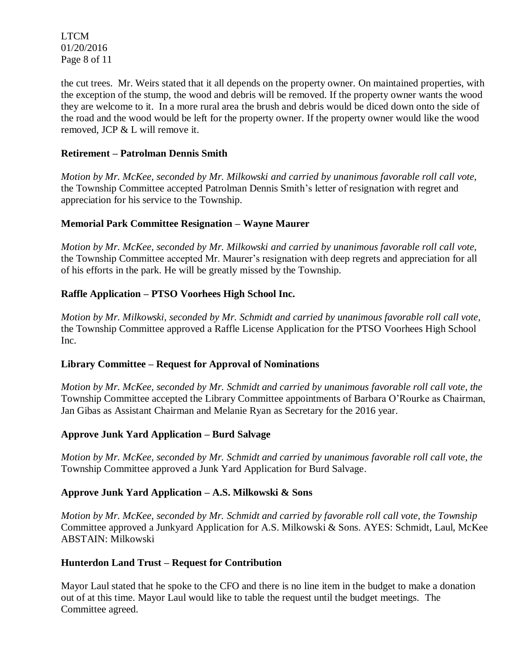LTCM 01/20/2016 Page 8 of 11

the cut trees. Mr. Weirs stated that it all depends on the property owner. On maintained properties, with the exception of the stump, the wood and debris will be removed. If the property owner wants the wood they are welcome to it. In a more rural area the brush and debris would be diced down onto the side of the road and the wood would be left for the property owner. If the property owner would like the wood removed, JCP & L will remove it.

## **Retirement – Patrolman Dennis Smith**

*Motion by Mr. McKee, seconded by Mr. Milkowski and carried by unanimous favorable roll call vote,*  the Township Committee accepted Patrolman Dennis Smith's letter of resignation with regret and appreciation for his service to the Township.

### **Memorial Park Committee Resignation – Wayne Maurer**

*Motion by Mr. McKee, seconded by Mr. Milkowski and carried by unanimous favorable roll call vote,*  the Township Committee accepted Mr. Maurer's resignation with deep regrets and appreciation for all of his efforts in the park. He will be greatly missed by the Township.

## **Raffle Application – PTSO Voorhees High School Inc.**

*Motion by Mr. Milkowski, seconded by Mr. Schmidt and carried by unanimous favorable roll call vote,*  the Township Committee approved a Raffle License Application for the PTSO Voorhees High School Inc.

#### **Library Committee – Request for Approval of Nominations**

*Motion by Mr. McKee, seconded by Mr. Schmidt and carried by unanimous favorable roll call vote, the* Township Committee accepted the Library Committee appointments of Barbara O'Rourke as Chairman, Jan Gibas as Assistant Chairman and Melanie Ryan as Secretary for the 2016 year.

#### **Approve Junk Yard Application – Burd Salvage**

*Motion by Mr. McKee, seconded by Mr. Schmidt and carried by unanimous favorable roll call vote, the* Township Committee approved a Junk Yard Application for Burd Salvage.

#### **Approve Junk Yard Application – A.S. Milkowski & Sons**

*Motion by Mr. McKee, seconded by Mr. Schmidt and carried by favorable roll call vote, the Township*  Committee approved a Junkyard Application for A.S. Milkowski & Sons. AYES: Schmidt, Laul, McKee ABSTAIN: Milkowski

#### **Hunterdon Land Trust – Request for Contribution**

Mayor Laul stated that he spoke to the CFO and there is no line item in the budget to make a donation out of at this time. Mayor Laul would like to table the request until the budget meetings. The Committee agreed.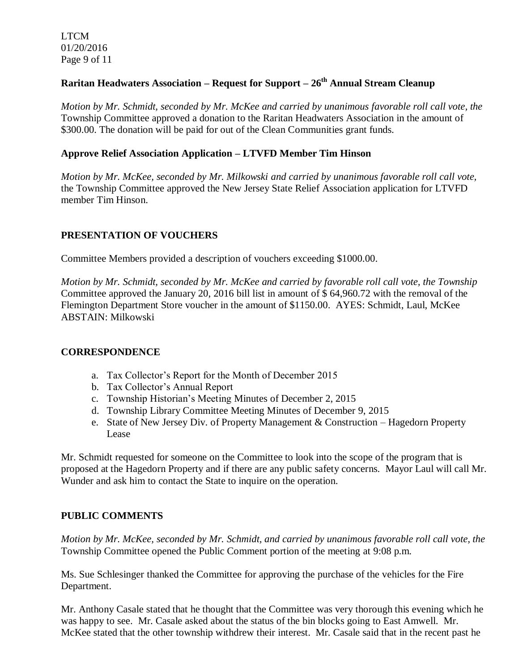LTCM 01/20/2016 Page 9 of 11

# **Raritan Headwaters Association – Request for Support – 26th Annual Stream Cleanup**

*Motion by Mr. Schmidt, seconded by Mr. McKee and carried by unanimous favorable roll call vote, the* Township Committee approved a donation to the Raritan Headwaters Association in the amount of \$300.00. The donation will be paid for out of the Clean Communities grant funds.

## **Approve Relief Association Application – LTVFD Member Tim Hinson**

*Motion by Mr. McKee, seconded by Mr. Milkowski and carried by unanimous favorable roll call vote,*  the Township Committee approved the New Jersey State Relief Association application for LTVFD member Tim Hinson.

# **PRESENTATION OF VOUCHERS**

Committee Members provided a description of vouchers exceeding \$1000.00.

*Motion by Mr. Schmidt, seconded by Mr. McKee and carried by favorable roll call vote, the Township* Committee approved the January 20, 2016 bill list in amount of \$ 64,960.72 with the removal of the Flemington Department Store voucher in the amount of \$1150.00. AYES: Schmidt, Laul, McKee ABSTAIN: Milkowski

## **CORRESPONDENCE**

- a. Tax Collector's Report for the Month of December 2015
- b. Tax Collector's Annual Report
- c. Township Historian's Meeting Minutes of December 2, 2015
- d. Township Library Committee Meeting Minutes of December 9, 2015
- e. State of New Jersey Div. of Property Management & Construction Hagedorn Property Lease

Mr. Schmidt requested for someone on the Committee to look into the scope of the program that is proposed at the Hagedorn Property and if there are any public safety concerns. Mayor Laul will call Mr. Wunder and ask him to contact the State to inquire on the operation.

## **PUBLIC COMMENTS**

*Motion by Mr. McKee, seconded by Mr. Schmidt, and carried by unanimous favorable roll call vote, the* Township Committee opened the Public Comment portion of the meeting at 9:08 p.m.

Ms. Sue Schlesinger thanked the Committee for approving the purchase of the vehicles for the Fire Department.

Mr. Anthony Casale stated that he thought that the Committee was very thorough this evening which he was happy to see. Mr. Casale asked about the status of the bin blocks going to East Amwell. Mr. McKee stated that the other township withdrew their interest. Mr. Casale said that in the recent past he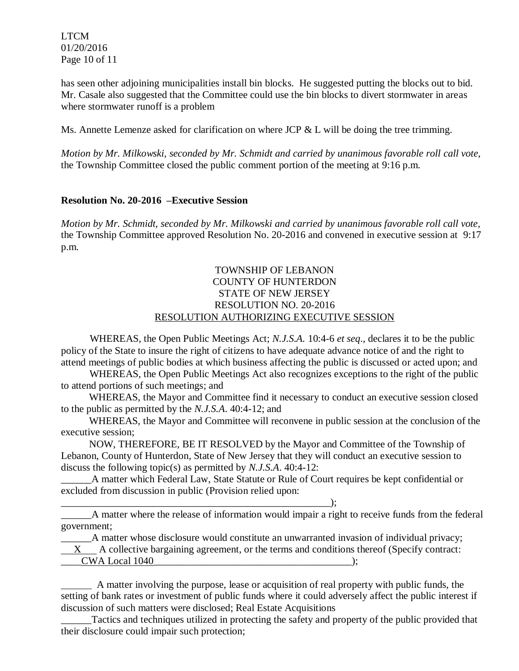LTCM 01/20/2016 Page 10 of 11

has seen other adjoining municipalities install bin blocks. He suggested putting the blocks out to bid. Mr. Casale also suggested that the Committee could use the bin blocks to divert stormwater in areas where stormwater runoff is a problem

Ms. Annette Lemenze asked for clarification on where JCP & L will be doing the tree trimming.

*Motion by Mr. Milkowski, seconded by Mr. Schmidt and carried by unanimous favorable roll call vote,* the Township Committee closed the public comment portion of the meeting at 9:16 p.m.

### **Resolution No. 20-2016 –Executive Session**

*Motion by Mr. Schmidt, seconded by Mr. Milkowski and carried by unanimous favorable roll call vote,* the Township Committee approved Resolution No. 20-2016 and convened in executive session at 9:17 p.m.

### TOWNSHIP OF LEBANON COUNTY OF HUNTERDON STATE OF NEW JERSEY RESOLUTION NO. 20-2016 RESOLUTION AUTHORIZING EXECUTIVE SESSION

WHEREAS, the Open Public Meetings Act; *N.J.S.A.* 10:4-6 *et seq*., declares it to be the public policy of the State to insure the right of citizens to have adequate advance notice of and the right to attend meetings of public bodies at which business affecting the public is discussed or acted upon; and

WHEREAS, the Open Public Meetings Act also recognizes exceptions to the right of the public to attend portions of such meetings; and

 WHEREAS, the Mayor and Committee find it necessary to conduct an executive session closed to the public as permitted by the *N.J.S.A*. 40:4-12; and

 WHEREAS, the Mayor and Committee will reconvene in public session at the conclusion of the executive session;

 NOW, THEREFORE, BE IT RESOLVED by the Mayor and Committee of the Township of Lebanon, County of Hunterdon, State of New Jersey that they will conduct an executive session to discuss the following topic(s) as permitted by *N.J.S.A*. 40:4-12:

\_\_\_\_\_\_A matter which Federal Law, State Statute or Rule of Court requires be kept confidential or excluded from discussion in public (Provision relied upon:

\_\_\_\_\_\_\_\_\_\_\_\_\_\_\_\_\_\_\_\_\_\_\_\_\_\_\_\_\_\_\_\_\_\_\_\_\_\_\_\_\_\_\_\_\_\_\_\_\_\_\_\_\_);

\_\_\_\_\_\_A matter where the release of information would impair a right to receive funds from the federal government;

\_\_\_\_\_\_A matter whose disclosure would constitute an unwarranted invasion of individual privacy; X A collective bargaining agreement, or the terms and conditions thereof (Specify contract:  $CWA Local 1040$   $)$ ;

 A matter involving the purpose, lease or acquisition of real property with public funds, the setting of bank rates or investment of public funds where it could adversely affect the public interest if discussion of such matters were disclosed; Real Estate Acquisitions

\_\_\_\_\_\_Tactics and techniques utilized in protecting the safety and property of the public provided that their disclosure could impair such protection;